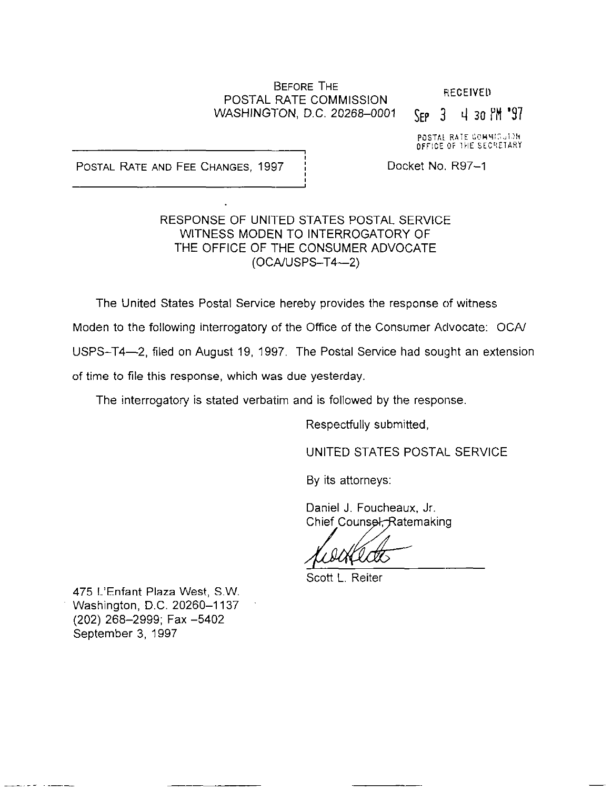### BEFORE THE **POSTAL RATE COMMISSION** RECEIVED WASHINGTON, D.C. 20268-0001 SEP 3 4 30 PM '97

POSTAL RATE COMMISSION

POSTAL RATE AND FEE CHANGES, 1997 | Docket No. R97-1

### RESPONSE OF UNITED STATES POSTAL SERVICE WITNESS MODEN TO INTERROGATORY OF THE OFFICE OF THE CONSUMER ADVOCATE  $(OCA/USPS-T4-2)$

The United States Postal Service hereby provides the response of witness Moden to the following interrogatory of the Office of the Consumer Advocate: OCAI USPS-T4-2, filed on August 19, 1997. The Postal Service had sought an extension of time to file this response, which was due yesterday.

The interrogatory is stated verbatim and is followed by the response.

Respectfully submitted,

UNITED STATES POSTAL SERVICE

By its attorneys:

Daniel J. Foucheaux, Jr. Chief Counsel, Ratemaking

 $\sqrt{1-\frac{1}{2}}$ 

Scott L. Reiter

475 L'Enfant Plaza West, S.W. Washington, D.C. 20260-1137 (202) 268-2999; Fax -5402 September 3, 1997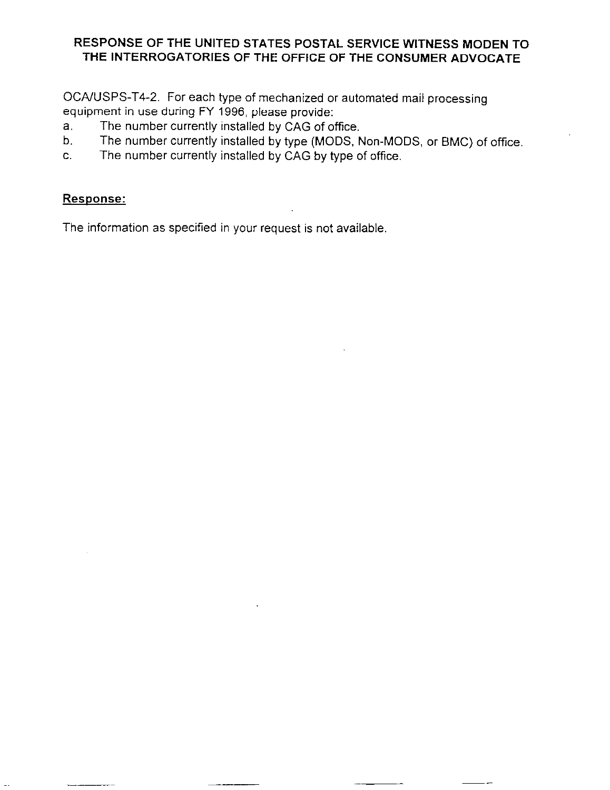### RESPONSE OF THE UNITED STATES POSTAL SERVICE WITNESS MODEN TO THE INTERROGATORIES OF THE OFFICE OF THE CONSUMER ADVOCATE

OCA/USPS-T4-2. For each type of mechanized or automated mail processing equipment in use during FY 1996, please provide:

- The number currently installed by CAG of office.  $a<sub>1</sub>$
- E: The number currently installed by type (MODS, Non-MODS, or BMC) of office.
- C. The number currently installed by CAG by type of office.

# Response:

The information as specified in your request is not available,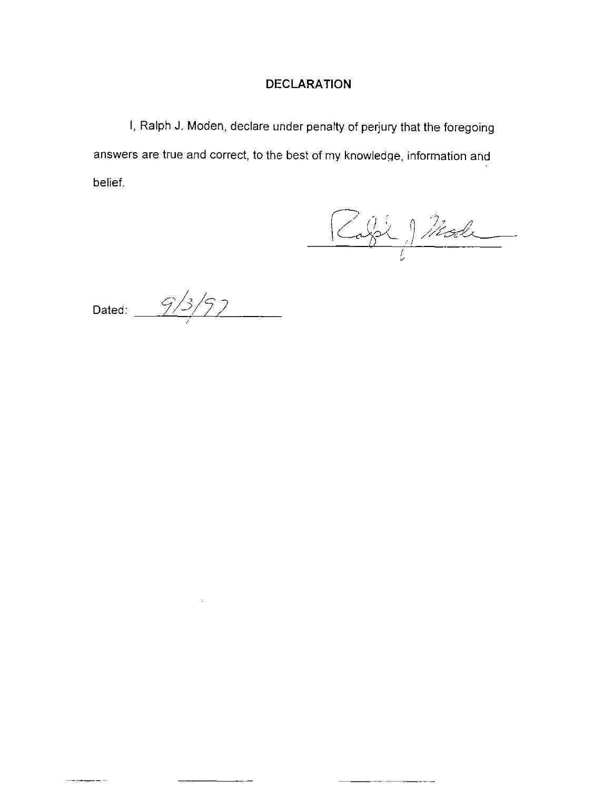# DECLARATION

I, Ralph J. Moden, declare under penalty of perjury that the foregoing answers are true and correct, to the best of my knowledge, information and belief.

Rafél Mode

Dated:  $\frac{9/3}{7}$